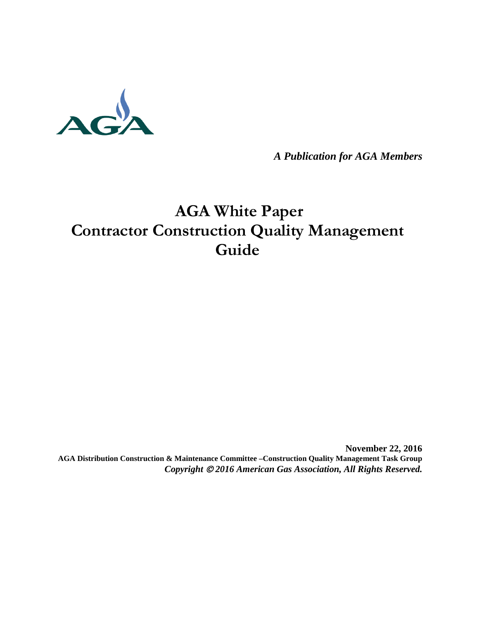

*A Publication for AGA Members*

# **AGA White Paper Contractor Construction Quality Management Guide**

**November 22, 2016 AGA Distribution Construction & Maintenance Committee –Construction Quality Management Task Group** *Copyright 2016 American Gas Association, All Rights Reserved.*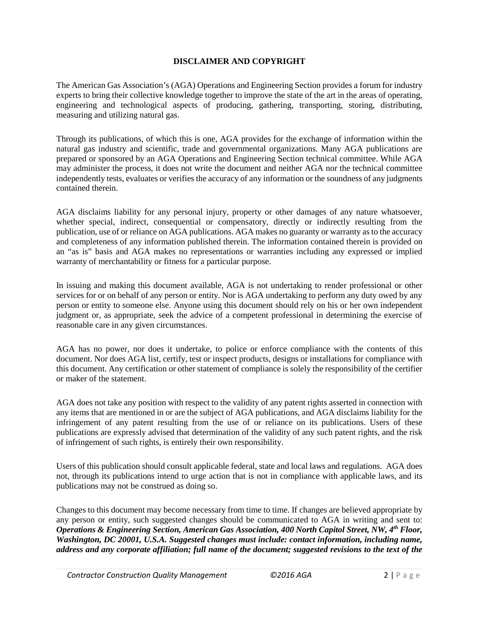#### **DISCLAIMER AND COPYRIGHT**

The American Gas Association's (AGA) Operations and Engineering Section provides a forum for industry experts to bring their collective knowledge together to improve the state of the art in the areas of operating, engineering and technological aspects of producing, gathering, transporting, storing, distributing, measuring and utilizing natural gas.

Through its publications, of which this is one, AGA provides for the exchange of information within the natural gas industry and scientific, trade and governmental organizations. Many AGA publications are prepared or sponsored by an AGA Operations and Engineering Section technical committee. While AGA may administer the process, it does not write the document and neither AGA nor the technical committee independently tests, evaluates or verifies the accuracy of any information or the soundness of any judgments contained therein.

AGA disclaims liability for any personal injury, property or other damages of any nature whatsoever, whether special, indirect, consequential or compensatory, directly or indirectly resulting from the publication, use of or reliance on AGA publications. AGA makes no guaranty or warranty as to the accuracy and completeness of any information published therein. The information contained therein is provided on an "as is" basis and AGA makes no representations or warranties including any expressed or implied warranty of merchantability or fitness for a particular purpose.

In issuing and making this document available, AGA is not undertaking to render professional or other services for or on behalf of any person or entity. Nor is AGA undertaking to perform any duty owed by any person or entity to someone else. Anyone using this document should rely on his or her own independent judgment or, as appropriate, seek the advice of a competent professional in determining the exercise of reasonable care in any given circumstances.

AGA has no power, nor does it undertake, to police or enforce compliance with the contents of this document. Nor does AGA list, certify, test or inspect products, designs or installations for compliance with this document. Any certification or other statement of compliance is solely the responsibility of the certifier or maker of the statement.

AGA does not take any position with respect to the validity of any patent rights asserted in connection with any items that are mentioned in or are the subject of AGA publications, and AGA disclaims liability for the infringement of any patent resulting from the use of or reliance on its publications. Users of these publications are expressly advised that determination of the validity of any such patent rights, and the risk of infringement of such rights, is entirely their own responsibility.

Users of this publication should consult applicable federal, state and local laws and regulations. AGA does not, through its publications intend to urge action that is not in compliance with applicable laws, and its publications may not be construed as doing so.

Changes to this document may become necessary from time to time. If changes are believed appropriate by any person or entity, such suggested changes should be communicated to AGA in writing and sent to: *Operations & Engineering Section, American Gas Association, 400 North Capitol Street, NW, 4th Floor, Washington, DC 20001, U.S.A. Suggested changes must include: contact information, including name, address and any corporate affiliation; full name of the document; suggested revisions to the text of the*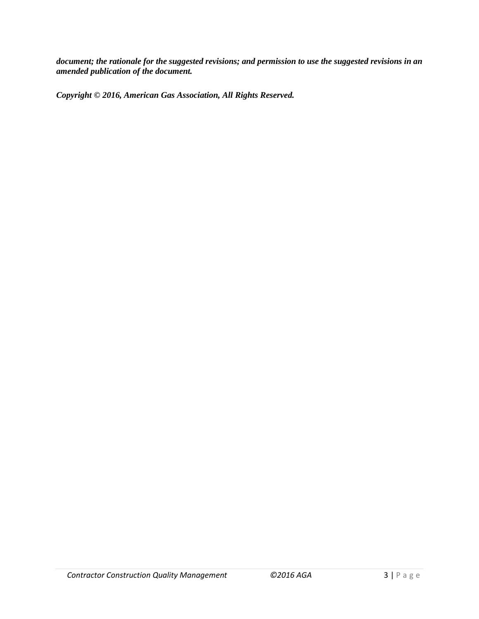*document; the rationale for the suggested revisions; and permission to use the suggested revisions in an amended publication of the document.*

*Copyright © 2016, American Gas Association, All Rights Reserved.*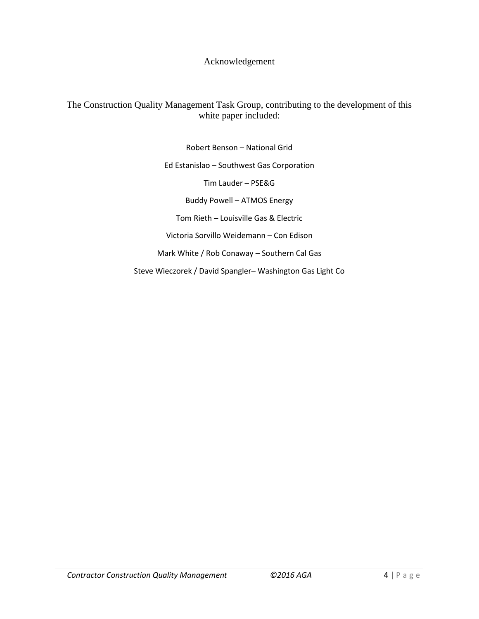Acknowledgement

The Construction Quality Management Task Group, contributing to the development of this white paper included:

> Robert Benson – National Grid Ed Estanislao – Southwest Gas Corporation Tim Lauder – PSE&G Buddy Powell – ATMOS Energy Tom Rieth – Louisville Gas & Electric Victoria Sorvillo Weidemann – Con Edison Mark White / Rob Conaway – Southern Cal Gas

Steve Wieczorek / David Spangler– Washington Gas Light Co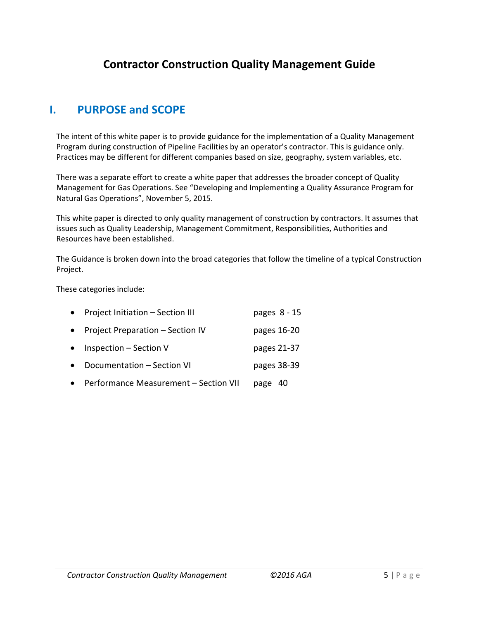# **Contractor Construction Quality Management Guide**

# **I. PURPOSE and SCOPE**

The intent of this white paper is to provide guidance for the implementation of a Quality Management Program during construction of Pipeline Facilities by an operator's contractor. This is guidance only. Practices may be different for different companies based on size, geography, system variables, etc.

There was a separate effort to create a white paper that addresses the broader concept of Quality Management for Gas Operations. See "Developing and Implementing a Quality Assurance Program for Natural Gas Operations", November 5, 2015.

This white paper is directed to only quality management of construction by contractors. It assumes that issues such as Quality Leadership, Management Commitment, Responsibilities, Authorities and Resources have been established.

The Guidance is broken down into the broad categories that follow the timeline of a typical Construction Project.

These categories include:

| $\bullet$ | Project Initiation - Section III      | pages 8 - 15 |
|-----------|---------------------------------------|--------------|
| $\bullet$ | Project Preparation - Section IV      | pages 16-20  |
| $\bullet$ | Inspection – Section V                | pages 21-37  |
| $\bullet$ | Documentation - Section VI            | pages 38-39  |
| $\bullet$ | Performance Measurement - Section VII | page 40      |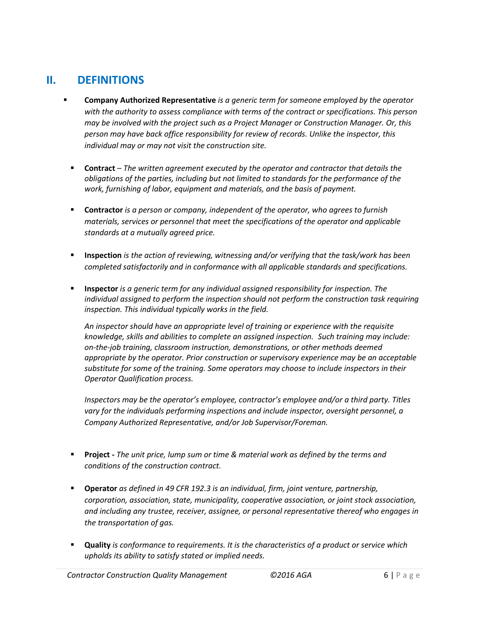# **II. DEFINITIONS**

- **Company Authorized Representative** *is a generic term for someone employed by the operator with the authority to assess compliance with terms of the contract or specifications. This person may be involved with the project such as a Project Manager or Construction Manager. Or, this person may have back office responsibility for review of records. Unlike the inspector, this individual may or may not visit the construction site.*
	- **Contract** *– The written agreement executed by the operator and contractor that details the obligations of the parties, including but not limited to standards for the performance of the work, furnishing of labor, equipment and materials, and the basis of payment.*
	- **Contractor** *is a person or company, independent of the operator, who agrees to furnish materials, services or personnel that meet the specifications of the operator and applicable standards at a mutually agreed price.*
	- **Inspection** *is the action of reviewing, witnessing and/or verifying that the task/work has been completed satisfactorily and in conformance with all applicable standards and specifications.*
	- **Inspector** *is a generic term for any individual assigned responsibility for inspection. The individual assigned to perform the inspection should not perform the construction task requiring inspection. This individual typically works in the field.*

*An inspector should have an appropriate level of training or experience with the requisite knowledge, skills and abilities to complete an assigned inspection. Such training may include: on-the-job training, classroom instruction, demonstrations, or other methods deemed appropriate by the operator. Prior construction or supervisory experience may be an acceptable substitute for some of the training. Some operators may choose to include inspectors in their Operator Qualification process.*

*Inspectors may be the operator's employee, contractor's employee and/or a third party. Titles vary for the individuals performing inspections and include inspector, oversight personnel, a Company Authorized Representative, and/or Job Supervisor/Foreman.*

- **Project -** *The unit price, lump sum or time & material work as defined by the terms and conditions of the construction contract.*
- **Operator** *as defined in 49 CFR 192.3 is an individual, firm, joint venture, partnership, corporation, association, state, municipality, cooperative association, or joint stock association, and including any trustee, receiver, assignee, or personal representative thereof who engages in the transportation of gas.*
- **Quality** *is conformance to requirements. It is the characteristics of a product or service which upholds its ability to satisfy stated or implied needs.*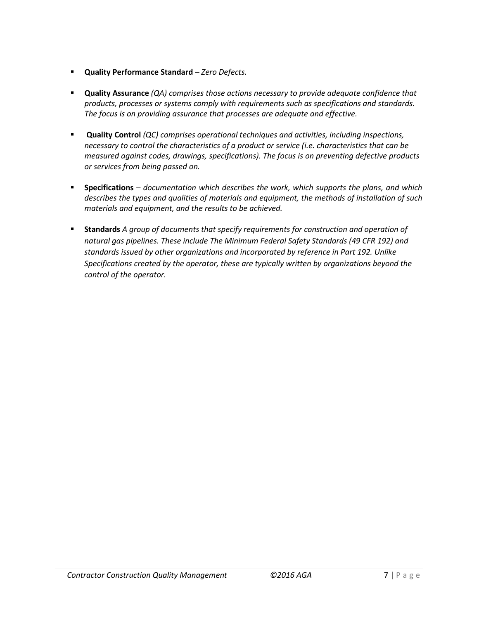- **Quality Performance Standard** *– Zero Defects.*
- **Quality Assurance** *(QA) comprises those actions necessary to provide adequate confidence that products, processes or systems comply with requirements such as specifications and standards. The focus is on providing assurance that processes are adequate and effective.*
- **Quality Control** *(QC) comprises operational techniques and activities, including inspections, necessary to control the characteristics of a product or service (i.e. characteristics that can be measured against codes, drawings, specifications). The focus is on preventing defective products or services from being passed on.*
- **Specifications** *– documentation which describes the work, which supports the plans, and which describes the types and qualities of materials and equipment, the methods of installation of such materials and equipment, and the results to be achieved.*
- **Standards** *A group of documents that specify requirements for construction and operation of natural gas pipelines. These include The Minimum Federal Safety Standards (49 CFR 192) and standards issued by other organizations and incorporated by reference in Part 192. Unlike Specifications created by the operator, these are typically written by organizations beyond the control of the operator.*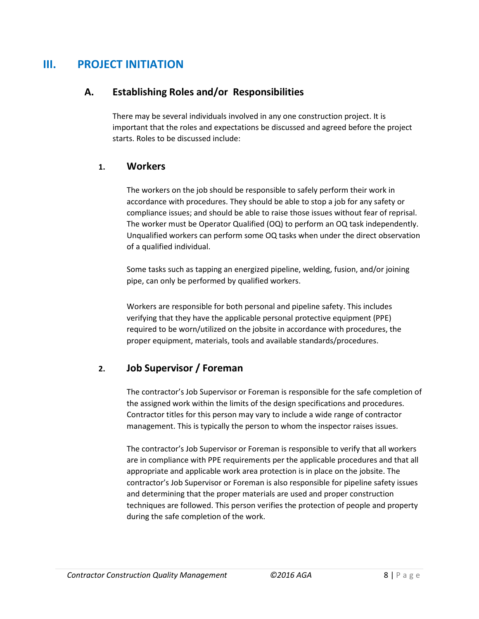# **III. PROJECT INITIATION**

### **A. Establishing Roles and/or Responsibilities**

There may be several individuals involved in any one construction project. It is important that the roles and expectations be discussed and agreed before the project starts. Roles to be discussed include:

#### **1. Workers**

The workers on the job should be responsible to safely perform their work in accordance with procedures. They should be able to stop a job for any safety or compliance issues; and should be able to raise those issues without fear of reprisal. The worker must be Operator Qualified (OQ) to perform an OQ task independently. Unqualified workers can perform some OQ tasks when under the direct observation of a qualified individual.

Some tasks such as tapping an energized pipeline, welding, fusion, and/or joining pipe, can only be performed by qualified workers.

Workers are responsible for both personal and pipeline safety. This includes verifying that they have the applicable personal protective equipment (PPE) required to be worn/utilized on the jobsite in accordance with procedures, the proper equipment, materials, tools and available standards/procedures.

### **2. Job Supervisor / Foreman**

The contractor's Job Supervisor or Foreman is responsible for the safe completion of the assigned work within the limits of the design specifications and procedures. Contractor titles for this person may vary to include a wide range of contractor management. This is typically the person to whom the inspector raises issues.

The contractor's Job Supervisor or Foreman is responsible to verify that all workers are in compliance with PPE requirements per the applicable procedures and that all appropriate and applicable work area protection is in place on the jobsite. The contractor's Job Supervisor or Foreman is also responsible for pipeline safety issues and determining that the proper materials are used and proper construction techniques are followed. This person verifies the protection of people and property during the safe completion of the work.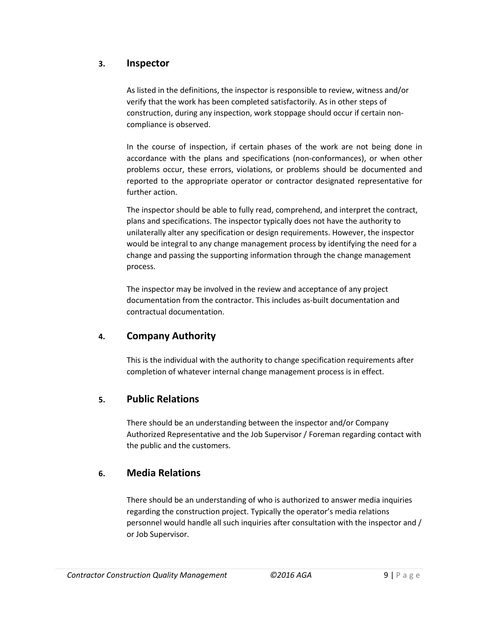### **3. Inspector**

As listed in the definitions, the inspector is responsible to review, witness and/or verify that the work has been completed satisfactorily. As in other steps of construction, during any inspection, work stoppage should occur if certain noncompliance is observed.

In the course of inspection, if certain phases of the work are not being done in accordance with the plans and specifications (non-conformances), or when other problems occur, these errors, violations, or problems should be documented and reported to the appropriate operator or contractor designated representative for further action.

The inspector should be able to fully read, comprehend, and interpret the contract, plans and specifications. The inspector typically does not have the authority to unilaterally alter any specification or design requirements. However, the inspector would be integral to any change management process by identifying the need for a change and passing the supporting information through the change management process.

The inspector may be involved in the review and acceptance of any project documentation from the contractor. This includes as-built documentation and contractual documentation.

### **4. Company Authority**

This is the individual with the authority to change specification requirements after completion of whatever internal change management process is in effect.

### **5. Public Relations**

There should be an understanding between the inspector and/or Company Authorized Representative and the Job Supervisor / Foreman regarding contact with the public and the customers.

### **6. Media Relations**

There should be an understanding of who is authorized to answer media inquiries regarding the construction project. Typically the operator's media relations personnel would handle all such inquiries after consultation with the inspector and / or Job Supervisor.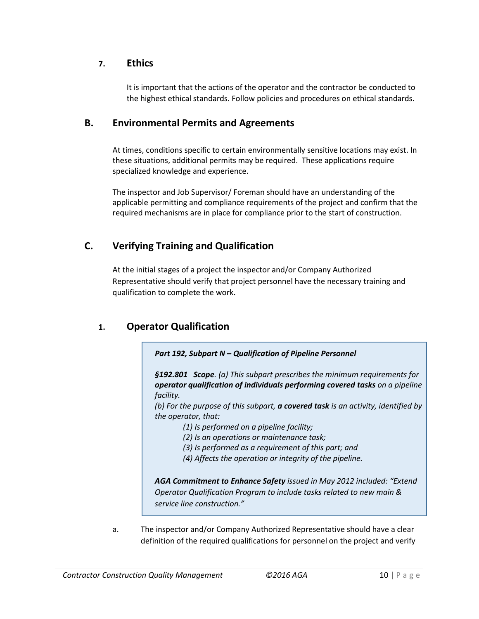### **7. Ethics**

It is important that the actions of the operator and the contractor be conducted to the highest ethical standards. Follow policies and procedures on ethical standards.

### **B. Environmental Permits and Agreements**

At times, conditions specific to certain environmentally sensitive locations may exist. In these situations, additional permits may be required. These applications require specialized knowledge and experience.

The inspector and Job Supervisor/ Foreman should have an understanding of the applicable permitting and compliance requirements of the project and confirm that the required mechanisms are in place for compliance prior to the start of construction.

### **C. Verifying Training and Qualification**

At the initial stages of a project the inspector and/or Company Authorized Representative should verify that project personnel have the necessary training and qualification to complete the work.

### **1. Operator Qualification**



*§192.801 Scope. (a) This subpart prescribes the minimum requirements for operator qualification of individuals performing covered tasks on a pipeline facility.*

*(b) For the purpose of this subpart, a covered task is an activity, identified by the operator, that:*

- *(1) Is performed on a pipeline facility;*
- *(2) Is an operations or maintenance task;*
- *(3) Is performed as a requirement of this part; and*
- *(4) Affects the operation or integrity of the pipeline.*

*AGA Commitment to Enhance Safety issued in May 2012 included: "Extend Operator Qualification Program to include tasks related to new main & service line construction."* 

a. The inspector and/or Company Authorized Representative should have a clear definition of the required qualifications for personnel on the project and verify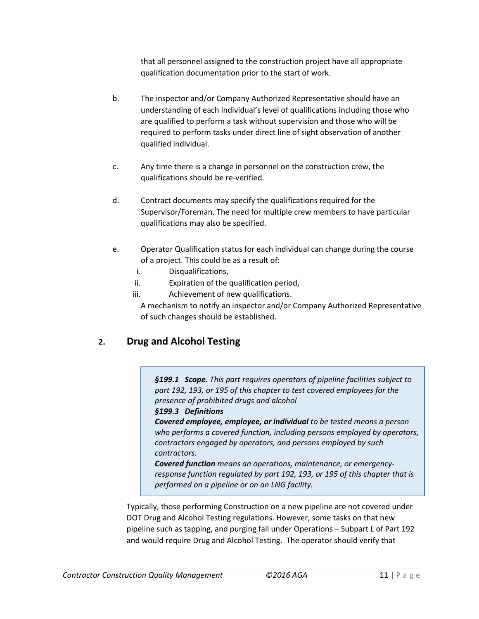that all personnel assigned to the construction project have all appropriate qualification documentation prior to the start of work.

- b. The inspector and/or Company Authorized Representative should have an understanding of each individual's level of qualifications including those who are qualified to perform a task without supervision and those who will be required to perform tasks under direct line of sight observation of another qualified individual.
- c. Any time there is a change in personnel on the construction crew, the qualifications should be re-verified.
- d. Contract documents may specify the qualifications required for the Supervisor/Foreman. The need for multiple crew members to have particular qualifications may also be specified.
- e. Operator Qualification status for each individual can change during the course of a project. This could be as a result of:
	- i. Disqualifications,
	- ii. Expiration of the qualification period,
	- iii. Achievement of new qualifications.

A mechanism to notify an inspector and/or Company Authorized Representative of such changes should be established.

# **2. Drug and Alcohol Testing**

*§199.1 Scope. This part requires operators of pipeline facilities subject to part 192, 193, or 195 of this chapter to test covered employees for the presence of prohibited drugs and alcohol*

#### *§199.3 Definitions*

*Covered employee, employee, or individual to be tested means a person who performs a covered function, including persons employed by operators, contractors engaged by operators, and persons employed by such contractors.*

*Covered function means an operations, maintenance, or emergencyresponse function regulated by part 192, 193, or 195 of this chapter that is performed on a pipeline or on an LNG facility.*

Typically, those performing Construction on a new pipeline are not covered under DOT Drug and Alcohol Testing regulations. However, some tasks on that new pipeline such as tapping, and purging fall under Operations – Subpart L of Part 192 and would require Drug and Alcohol Testing. The operator should verify that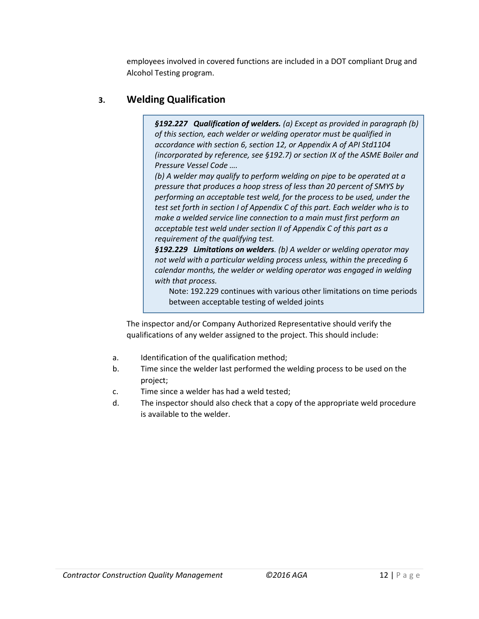employees involved in covered functions are included in a DOT compliant Drug and Alcohol Testing program.

## **3. Welding Qualification**

*§192.227 Qualification of welders. (a) Except as provided in paragraph (b) of this section, each welder or welding operator must be qualified in accordance with section 6, section 12, or Appendix A of API Std1104 (incorporated by reference, see §192.7) or section IX of the ASME Boiler and Pressure Vessel Code ….*

*(b) A welder may qualify to perform welding on pipe to be operated at a pressure that produces a hoop stress of less than 20 percent of SMYS by performing an acceptable test weld, for the process to be used, under the test set forth in section I of Appendix C of this part. Each welder who is to make a welded service line connection to a main must first perform an acceptable test weld under section II of Appendix C of this part as a requirement of the qualifying test.*

*§192.229 Limitations on welders. (b) A welder or welding operator may not weld with a particular welding process unless, within the preceding 6 calendar months, the welder or welding operator was engaged in welding with that process.*

Note: 192.229 continues with various other limitations on time periods between acceptable testing of welded joints

The inspector and/or Company Authorized Representative should verify the qualifications of any welder assigned to the project. This should include:

- a. Identification of the qualification method;
- b. Time since the welder last performed the welding process to be used on the project;
- c. Time since a welder has had a weld tested;
- d. The inspector should also check that a copy of the appropriate weld procedure is available to the welder.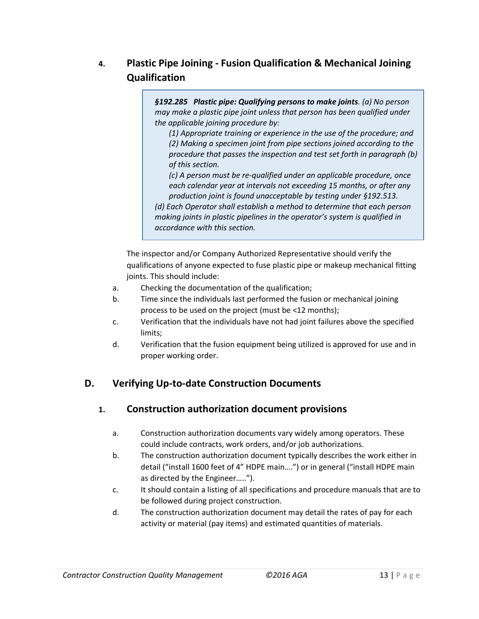# **4. Plastic Pipe Joining - Fusion Qualification & Mechanical Joining Qualification**

*§192.285 Plastic pipe: Qualifying persons to make joints. (a) No person may make a plastic pipe joint unless that person has been qualified under the applicable joining procedure by:*

*(1) Appropriate training or experience in the use of the procedure; and (2) Making a specimen joint from pipe sections joined according to the procedure that passes the inspection and test set forth in paragraph (b) of this section.*

*(c) A person must be re-qualified under an applicable procedure, once each calendar year at intervals not exceeding 15 months, or after any production joint is found unacceptable by testing under §192.513.*

*(d) Each Operator shall establish a method to determine that each person making joints in plastic pipelines in the operator's system is qualified in accordance with this section.*

The inspector and/or Company Authorized Representative should verify the qualifications of anyone expected to fuse plastic pipe or makeup mechanical fitting joints. This should include:

- a. Checking the documentation of the qualification;
- b. Time since the individuals last performed the fusion or mechanical joining process to be used on the project (must be <12 months);
- c. Verification that the individuals have not had joint failures above the specified limits;
- d. Verification that the fusion equipment being utilized is approved for use and in proper working order.

# **D. Verifying Up-to-date Construction Documents**

# **1. Construction authorization document provisions**

- a. Construction authorization documents vary widely among operators. These could include contracts, work orders, and/or job authorizations.
- b. The construction authorization document typically describes the work either in detail ("install 1600 feet of 4" HDPE main….") or in general ("install HDPE main as directed by the Engineer…..").
- c. It should contain a listing of all specifications and procedure manuals that are to be followed during project construction.
- d. The construction authorization document may detail the rates of pay for each activity or material (pay items) and estimated quantities of materials.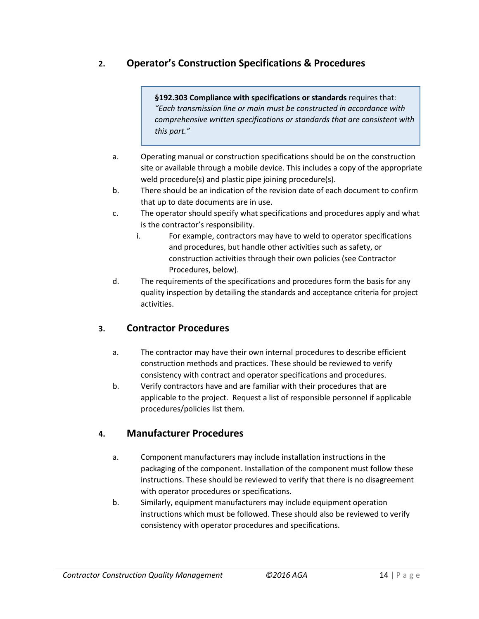# **2. Operator's Construction Specifications & Procedures**

**§192.303 Compliance with specifications or standards** requires that: *"Each transmission line or main must be constructed in accordance with comprehensive written specifications or standards that are consistent with this part."*

- a. Operating manual or construction specifications should be on the construction site or available through a mobile device. This includes a copy of the appropriate weld procedure(s) and plastic pipe joining procedure(s).
- b. There should be an indication of the revision date of each document to confirm that up to date documents are in use.
- c. The operator should specify what specifications and procedures apply and what is the contractor's responsibility.
	- i. For example, contractors may have to weld to operator specifications and procedures, but handle other activities such as safety, or construction activities through their own policies (see Contractor Procedures, below).
- d. The requirements of the specifications and procedures form the basis for any quality inspection by detailing the standards and acceptance criteria for project activities.

### **3. Contractor Procedures**

- a. The contractor may have their own internal procedures to describe efficient construction methods and practices. These should be reviewed to verify consistency with contract and operator specifications and procedures.
- b. Verify contractors have and are familiar with their procedures that are applicable to the project. Request a list of responsible personnel if applicable procedures/policies list them.

### **4. Manufacturer Procedures**

- a. Component manufacturers may include installation instructions in the packaging of the component. Installation of the component must follow these instructions. These should be reviewed to verify that there is no disagreement with operator procedures or specifications.
- b. Similarly, equipment manufacturers may include equipment operation instructions which must be followed. These should also be reviewed to verify consistency with operator procedures and specifications.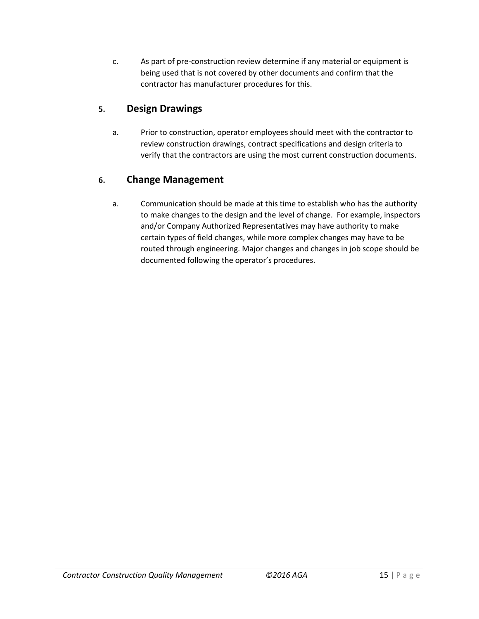c. As part of pre-construction review determine if any material or equipment is being used that is not covered by other documents and confirm that the contractor has manufacturer procedures for this.

## **5. Design Drawings**

a. Prior to construction, operator employees should meet with the contractor to review construction drawings, contract specifications and design criteria to verify that the contractors are using the most current construction documents.

### **6. Change Management**

a. Communication should be made at this time to establish who has the authority to make changes to the design and the level of change. For example, inspectors and/or Company Authorized Representatives may have authority to make certain types of field changes, while more complex changes may have to be routed through engineering. Major changes and changes in job scope should be documented following the operator's procedures.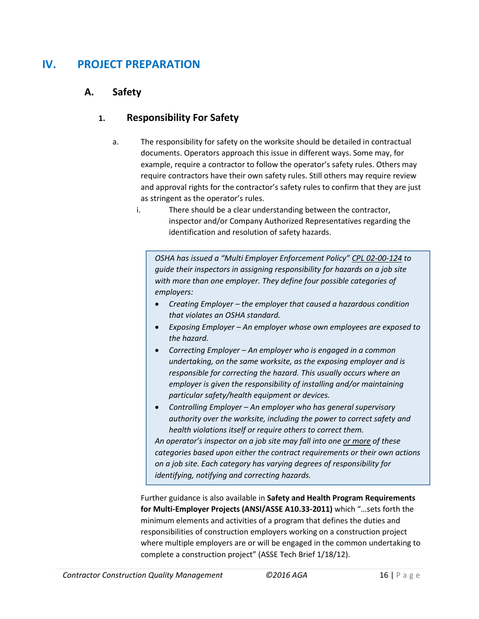# **IV. PROJECT PREPARATION**

### **A. Safety**

### **1. Responsibility For Safety**

- a. The responsibility for safety on the worksite should be detailed in contractual documents. Operators approach this issue in different ways. Some may, for example, require a contractor to follow the operator's safety rules. Others may require contractors have their own safety rules. Still others may require review and approval rights for the contractor's safety rules to confirm that they are just as stringent as the operator's rules.
	- i. There should be a clear understanding between the contractor, inspector and/or Company Authorized Representatives regarding the identification and resolution of safety hazards.

*OSHA has issued a "Multi Employer Enforcement Policy" [CPL 02-00-124](https://www.osha.gov/pls/oshaweb/owadisp.show_document?p_table=DIRECTIVES&p_id=2024) to guide their inspectors in assigning responsibility for hazards on a job site with more than one employer. They define four possible categories of employers:*

- *Creating Employer – the employer that caused a hazardous condition that violates an OSHA standard.*
- *Exposing Employer – An employer whose own employees are exposed to the hazard.*
- *Correcting Employer – An employer who is engaged in a common undertaking, on the same worksite, as the exposing employer and is responsible for correcting the hazard. This usually occurs where an employer is given the responsibility of installing and/or maintaining particular safety/health equipment or devices.*
- *Controlling Employer – An employer who has general supervisory authority over the worksite, including the power to correct safety and health violations itself or require others to correct them.*

*An operator's inspector on a job site may fall into one or more of these categories based upon either the contract requirements or their own actions on a job site. Each category has varying degrees of responsibility for identifying, notifying and correcting hazards.*

Further guidance is also available in **Safety and Health Program Requirements for Multi-Employer Projects (ANSI/ASSE A10.33-2011)** which "…sets forth the minimum elements and activities of a program that defines the duties and responsibilities of construction employers working on a construction project where multiple employers are or will be engaged in the common undertaking to complete a construction project" (ASSE Tech Brief 1/18/12).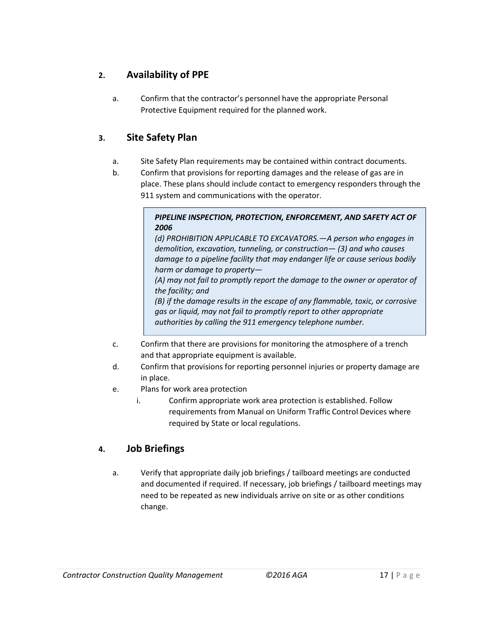# **2. Availability of PPE**

a. Confirm that the contractor's personnel have the appropriate Personal Protective Equipment required for the planned work.

### **3. Site Safety Plan**

- a. Site Safety Plan requirements may be contained within contract documents.
- b. Confirm that provisions for reporting damages and the release of gas are in place. These plans should include contact to emergency responders through the 911 system and communications with the operator.

#### *PIPELINE INSPECTION, PROTECTION, ENFORCEMENT, AND SAFETY ACT OF 2006*

*(d) PROHIBITION APPLICABLE TO EXCAVATORS.—A person who engages in demolition, excavation, tunneling, or construction— (3) and who causes damage to a pipeline facility that may endanger life or cause serious bodily harm or damage to property—*

*(A) may not fail to promptly report the damage to the owner or operator of the facility; and*

*(B) if the damage results in the escape of any flammable, toxic, or corrosive gas or liquid, may not fail to promptly report to other appropriate authorities by calling the 911 emergency telephone number.*

- c. Confirm that there are provisions for monitoring the atmosphere of a trench and that appropriate equipment is available.
- d. Confirm that provisions for reporting personnel injuries or property damage are in place.
- e. Plans for work area protection
	- i. Confirm appropriate work area protection is established. Follow requirements from Manual on Uniform Traffic Control Devices where required by State or local regulations.

# **4. Job Briefings**

a. Verify that appropriate daily job briefings / tailboard meetings are conducted and documented if required. If necessary, job briefings / tailboard meetings may need to be repeated as new individuals arrive on site or as other conditions change.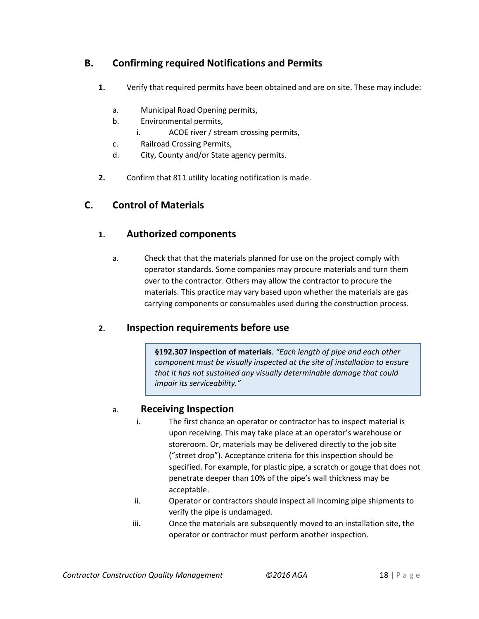# **B. Confirming required Notifications and Permits**

- **1.** Verify that required permits have been obtained and are on site. These may include:
	- a. Municipal Road Opening permits,
	- b. Environmental permits,
		- i. ACOE river / stream crossing permits,
	- c. Railroad Crossing Permits,
	- d. City, County and/or State agency permits.
- **2.** Confirm that 811 utility locating notification is made.

### **C. Control of Materials**

### **1. Authorized components**

a. Check that that the materials planned for use on the project comply with operator standards. Some companies may procure materials and turn them over to the contractor. Others may allow the contractor to procure the materials. This practice may vary based upon whether the materials are gas carrying components or consumables used during the construction process.

### **2. Inspection requirements before use**

**§192.307 Inspection of materials**. *"Each length of pipe and each other component must be visually inspected at the site of installation to ensure that it has not sustained any visually determinable damage that could impair its serviceability."*

### a. **Receiving Inspection**

- i. The first chance an operator or contractor has to inspect material is upon receiving. This may take place at an operator's warehouse or storeroom. Or, materials may be delivered directly to the job site ("street drop"). Acceptance criteria for this inspection should be specified. For example, for plastic pipe, a scratch or gouge that does not penetrate deeper than 10% of the pipe's wall thickness may be acceptable.
- ii. Operator or contractors should inspect all incoming pipe shipments to verify the pipe is undamaged.
- iii. Once the materials are subsequently moved to an installation site, the operator or contractor must perform another inspection.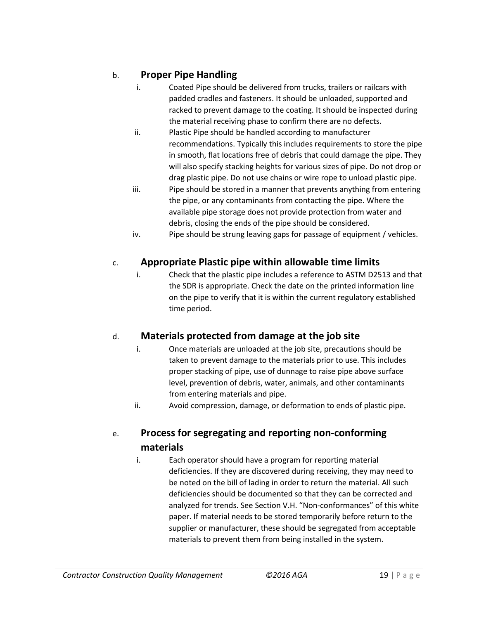# b. **Proper Pipe Handling**

- i. Coated Pipe should be delivered from trucks, trailers or railcars with padded cradles and fasteners. It should be unloaded, supported and racked to prevent damage to the coating. It should be inspected during the material receiving phase to confirm there are no defects.
- ii. Plastic Pipe should be handled according to manufacturer recommendations. Typically this includes requirements to store the pipe in smooth, flat locations free of debris that could damage the pipe. They will also specify stacking heights for various sizes of pipe. Do not drop or drag plastic pipe. Do not use chains or wire rope to unload plastic pipe.
- iii. Pipe should be stored in a manner that prevents anything from entering the pipe, or any contaminants from contacting the pipe. Where the available pipe storage does not provide protection from water and debris, closing the ends of the pipe should be considered.
- iv. Pipe should be strung leaving gaps for passage of equipment / vehicles.

# c. **Appropriate Plastic pipe within allowable time limits**

i. Check that the plastic pipe includes a reference to ASTM D2513 and that the SDR is appropriate. Check the date on the printed information line on the pipe to verify that it is within the current regulatory established time period.

### d. **Materials protected from damage at the job site**

- i. Once materials are unloaded at the job site, precautions should be taken to prevent damage to the materials prior to use. This includes proper stacking of pipe, use of dunnage to raise pipe above surface level, prevention of debris, water, animals, and other contaminants from entering materials and pipe.
- ii. Avoid compression, damage, or deformation to ends of plastic pipe.

# e. **Process for segregating and reporting non-conforming materials**

i. Each operator should have a program for reporting material deficiencies. If they are discovered during receiving, they may need to be noted on the bill of lading in order to return the material. All such deficiencies should be documented so that they can be corrected and analyzed for trends. See Section V.H. "Non-conformances" of this white paper. If material needs to be stored temporarily before return to the supplier or manufacturer, these should be segregated from acceptable materials to prevent them from being installed in the system.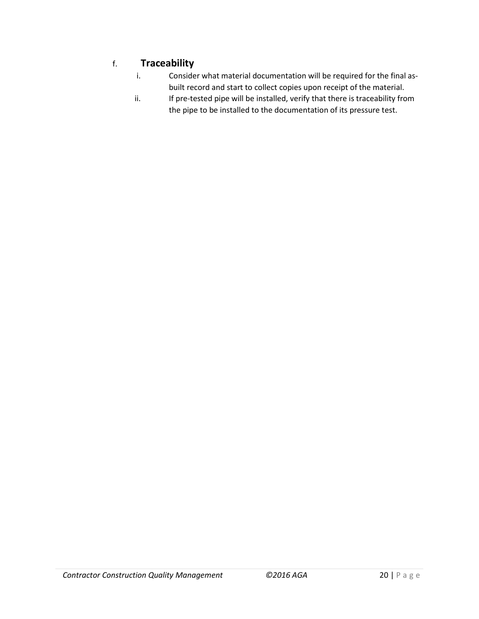# f. **Traceability**

- i. Consider what material documentation will be required for the final asbuilt record and start to collect copies upon receipt of the material.
- ii. If pre-tested pipe will be installed, verify that there is traceability from the pipe to be installed to the documentation of its pressure test.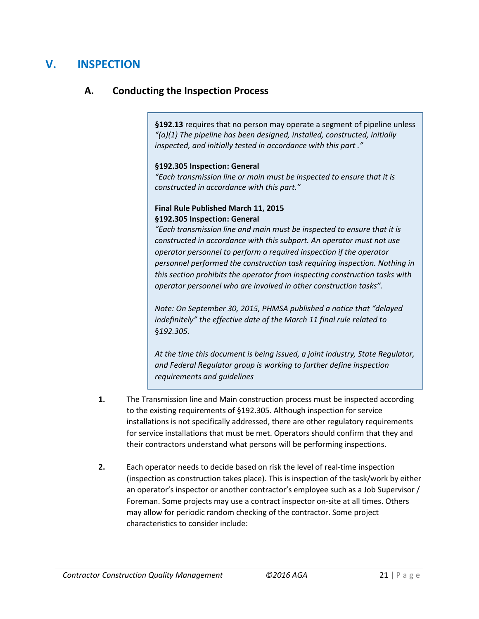# **V. INSPECTION**

### **A. Conducting the Inspection Process**

**§192.13** requires that no person may operate a segment of pipeline unless *"(a)(1) The pipeline has been designed, installed, constructed, initially inspected, and initially tested in accordance with this part ."*

#### **§192.305 Inspection: General**

*"Each transmission line or main must be inspected to ensure that it is constructed in accordance with this part."*

#### **Final Rule Published March 11, 2015 §192.305 Inspection: General**

*"Each transmission line and main must be inspected to ensure that it is constructed in accordance with this subpart. An operator must not use operator personnel to perform a required inspection if the operator personnel performed the construction task requiring inspection. Nothing in this section prohibits the operator from inspecting construction tasks with operator personnel who are involved in other construction tasks".*

*Note: On September 30, 2015, PHMSA published a notice that "delayed indefinitely" the effective date of the March 11 final rule related to*  §*192.305.*

*At the time this document is being issued, a joint industry, State Regulator, and Federal Regulator group is working to further define inspection requirements and guidelines* 

- **1.** The Transmission line and Main construction process must be inspected according to the existing requirements of §192.305. Although inspection for service installations is not specifically addressed, there are other regulatory requirements for service installations that must be met. Operators should confirm that they and their contractors understand what persons will be performing inspections.
- **2.** Each operator needs to decide based on risk the level of real-time inspection (inspection as construction takes place). This is inspection of the task/work by either an operator's inspector or another contractor's employee such as a Job Supervisor / Foreman. Some projects may use a contract inspector on-site at all times. Others may allow for periodic random checking of the contractor. Some project characteristics to consider include: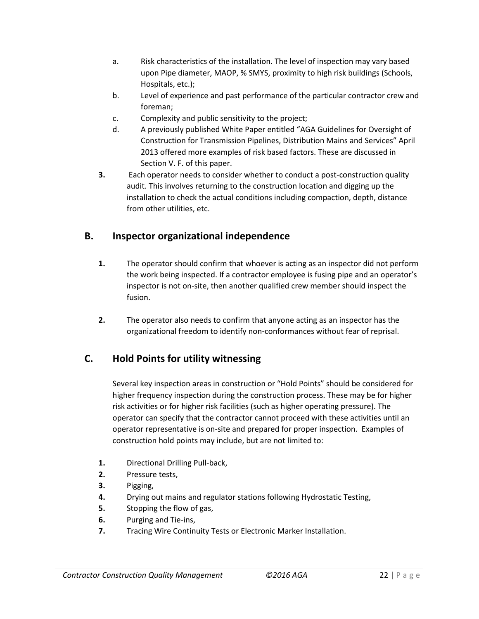- a. Risk characteristics of the installation. The level of inspection may vary based upon Pipe diameter, MAOP, % SMYS, proximity to high risk buildings (Schools, Hospitals, etc.);
- b. Level of experience and past performance of the particular contractor crew and foreman;
- c. Complexity and public sensitivity to the project;
- d. A previously published White Paper entitled "AGA Guidelines for Oversight of Construction for Transmission Pipelines, Distribution Mains and Services" April 2013 offered more examples of risk based factors. These are discussed in Section V. F. of this paper.
- **3.** Each operator needs to consider whether to conduct a post-construction quality audit. This involves returning to the construction location and digging up the installation to check the actual conditions including compaction, depth, distance from other utilities, etc.

# **B. Inspector organizational independence**

- **1.** The operator should confirm that whoever is acting as an inspector did not perform the work being inspected. If a contractor employee is fusing pipe and an operator's inspector is not on-site, then another qualified crew member should inspect the fusion.
- **2.** The operator also needs to confirm that anyone acting as an inspector has the organizational freedom to identify non-conformances without fear of reprisal.

# **C. Hold Points for utility witnessing**

Several key inspection areas in construction or "Hold Points" should be considered for higher frequency inspection during the construction process. These may be for higher risk activities or for higher risk facilities (such as higher operating pressure). The operator can specify that the contractor cannot proceed with these activities until an operator representative is on-site and prepared for proper inspection. Examples of construction hold points may include, but are not limited to:

- **1.** Directional Drilling Pull-back,
- **2.** Pressure tests,
- **3.** Pigging,
- **4.** Drying out mains and regulator stations following Hydrostatic Testing,
- **5.** Stopping the flow of gas,
- **6.** Purging and Tie-ins,
- **7.** Tracing Wire Continuity Tests or Electronic Marker Installation.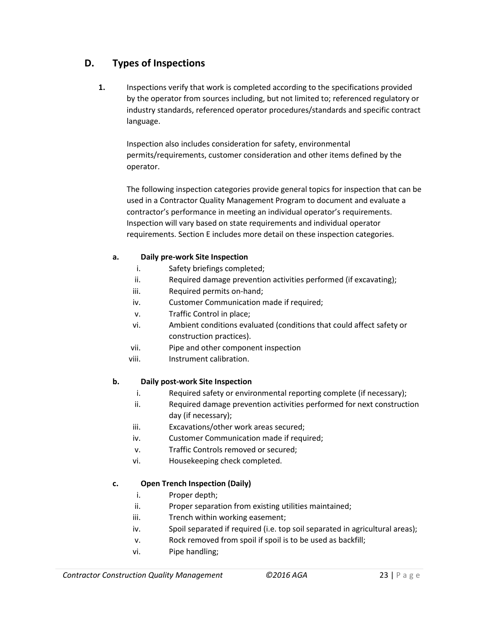# **D. Types of Inspections**

**1.** Inspections verify that work is completed according to the specifications provided by the operator from sources including, but not limited to; referenced regulatory or industry standards, referenced operator procedures/standards and specific contract language.

Inspection also includes consideration for safety, environmental permits/requirements, customer consideration and other items defined by the operator.

The following inspection categories provide general topics for inspection that can be used in a Contractor Quality Management Program to document and evaluate a contractor's performance in meeting an individual operator's requirements. Inspection will vary based on state requirements and individual operator requirements. Section E includes more detail on these inspection categories.

#### **a. Daily pre-work Site Inspection**

- i. Safety briefings completed;
- ii. Required damage prevention activities performed (if excavating);
- iii. Required permits on-hand;
- iv. Customer Communication made if required;
- v. Traffic Control in place;
- vi. Ambient conditions evaluated (conditions that could affect safety or construction practices).
- vii. Pipe and other component inspection
- viii. Instrument calibration.

#### **b. Daily post-work Site Inspection**

- i. Required safety or environmental reporting complete (if necessary);
- ii. Required damage prevention activities performed for next construction day (if necessary);
- iii. Excavations/other work areas secured;
- iv. Customer Communication made if required;
- v. Traffic Controls removed or secured;
- vi. Housekeeping check completed.

### **c. Open Trench Inspection (Daily)**

- i. Proper depth;
- ii. Proper separation from existing utilities maintained;
- iii. Trench within working easement;
- iv. Spoil separated if required (i.e. top soil separated in agricultural areas);
- v. Rock removed from spoil if spoil is to be used as backfill;
- vi. Pipe handling;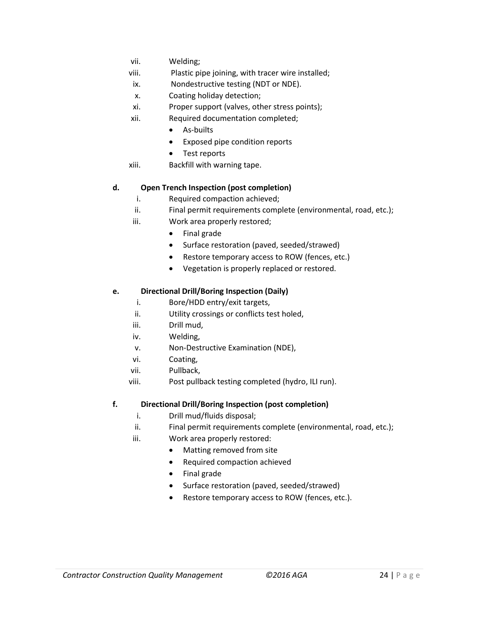- vii. Welding;
- viii. Plastic pipe joining, with tracer wire installed;
- ix. Nondestructive testing (NDT or NDE).
- x. Coating holiday detection;
- xi. Proper support (valves, other stress points);
- xii. Required documentation completed;
	- As-builts
	- Exposed pipe condition reports
	- Test reports
- xiii. Backfill with warning tape.

#### **d. Open Trench Inspection (post completion)**

- i. Required compaction achieved;
- ii. Final permit requirements complete (environmental, road, etc.);
- iii. Work area properly restored;
	- Final grade
	- Surface restoration (paved, seeded/strawed)
	- Restore temporary access to ROW (fences, etc.)
	- Vegetation is properly replaced or restored.

#### **e. Directional Drill/Boring Inspection (Daily)**

- i. Bore/HDD entry/exit targets,
- ii. Utility crossings or conflicts test holed,
- iii. Drill mud,
- iv. Welding,
- v. Non-Destructive Examination (NDE),
- vi. Coating,
- vii. Pullback,
- viii. Post pullback testing completed (hydro, ILI run).

#### **f. Directional Drill/Boring Inspection (post completion)**

- i. Drill mud/fluids disposal;
- ii. Final permit requirements complete (environmental, road, etc.);
- iii. Work area properly restored:
	- Matting removed from site
	- Required compaction achieved
	- Final grade
	- Surface restoration (paved, seeded/strawed)
	- Restore temporary access to ROW (fences, etc.).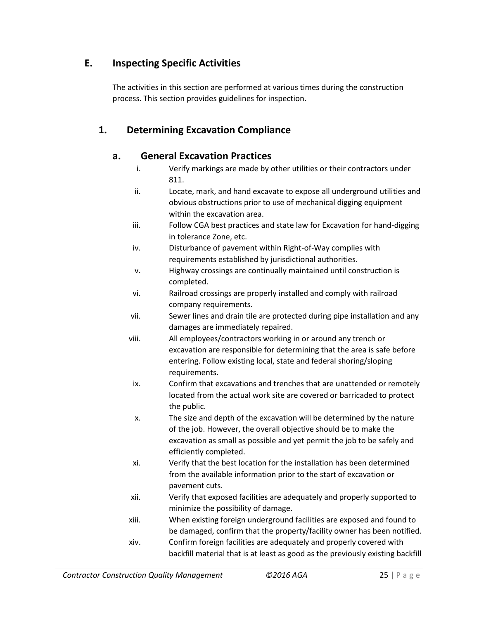# **E. Inspecting Specific Activities**

The activities in this section are performed at various times during the construction process. This section provides guidelines for inspection.

# **1. Determining Excavation Compliance**

### **a. General Excavation Practices**

- i. Verify markings are made by other utilities or their contractors under 811.
- ii. Locate, mark, and hand excavate to expose all underground utilities and obvious obstructions prior to use of mechanical digging equipment within the excavation area.
- iii. Follow CGA best practices and state law for Excavation for hand-digging in tolerance Zone, etc.
- iv. Disturbance of pavement within Right-of-Way complies with requirements established by jurisdictional authorities.
- v. Highway crossings are continually maintained until construction is completed.
- vi. Railroad crossings are properly installed and comply with railroad company requirements.
- vii. Sewer lines and drain tile are protected during pipe installation and any damages are immediately repaired.
- viii. All employees/contractors working in or around any trench or excavation are responsible for determining that the area is safe before entering. Follow existing local, state and federal shoring/sloping requirements.
- ix. Confirm that excavations and trenches that are unattended or remotely located from the actual work site are covered or barricaded to protect the public.
- x. The size and depth of the excavation will be determined by the nature of the job. However, the overall objective should be to make the excavation as small as possible and yet permit the job to be safely and efficiently completed.
- xi. Verify that the best location for the installation has been determined from the available information prior to the start of excavation or pavement cuts.
- xii. Verify that exposed facilities are adequately and properly supported to minimize the possibility of damage.
- xiii. When existing foreign underground facilities are exposed and found to be damaged, confirm that the property/facility owner has been notified.
- xiv. Confirm foreign facilities are adequately and properly covered with backfill material that is at least as good as the previously existing backfill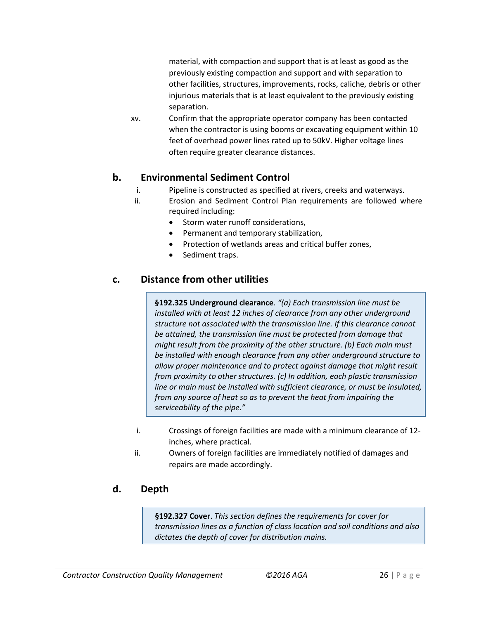material, with compaction and support that is at least as good as the previously existing compaction and support and with separation to other facilities, structures, improvements, rocks, caliche, debris or other injurious materials that is at least equivalent to the previously existing separation.

xv. Confirm that the appropriate operator company has been contacted when the contractor is using booms or excavating equipment within 10 feet of overhead power lines rated up to 50kV. Higher voltage lines often require greater clearance distances.

### **b. Environmental Sediment Control**

- i. Pipeline is constructed as specified at rivers, creeks and waterways.
- ii. Erosion and Sediment Control Plan requirements are followed where required including:
	- Storm water runoff considerations,
	- Permanent and temporary stabilization,
	- Protection of wetlands areas and critical buffer zones,
	- Sediment traps.

### **c. Distance from other utilities**

**§192.325 Underground clearance**. *"(a) Each transmission line must be installed with at least 12 inches of clearance from any other underground structure not associated with the transmission line. If this clearance cannot be attained, the transmission line must be protected from damage that might result from the proximity of the other structure. (b) Each main must be installed with enough clearance from any other underground structure to allow proper maintenance and to protect against damage that might result from proximity to other structures. (c) In addition, each plastic transmission line or main must be installed with sufficient clearance, or must be insulated, from any source of heat so as to prevent the heat from impairing the serviceability of the pipe."* 

- i. Crossings of foreign facilities are made with a minimum clearance of 12 inches, where practical.
- ii. Owners of foreign facilities are immediately notified of damages and repairs are made accordingly.

### **d. Depth**

**§192.327 Cover**. *This section defines the requirements for cover for transmission lines as a function of class location and soil conditions and also dictates the depth of cover for distribution mains.*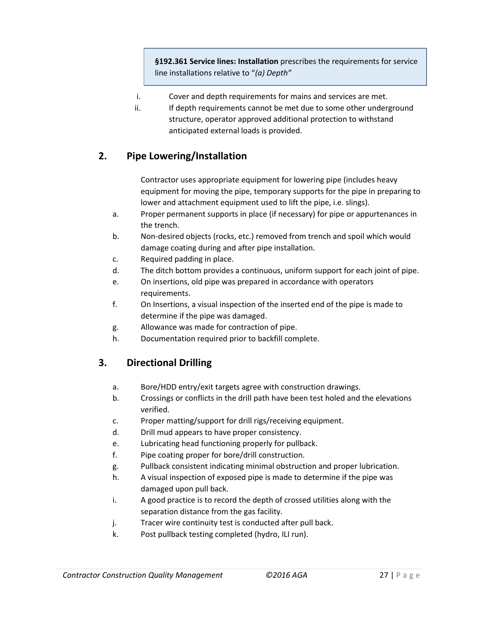**§192.361 Service lines: Installation** prescribes the requirements for service line installations relative to "*(a) Depth"*

- i. Cover and depth requirements for mains and services are met.
- ii. If depth requirements cannot be met due to some other underground structure, operator approved additional protection to withstand anticipated external loads is provided.

# **2. Pipe Lowering/Installation**

Contractor uses appropriate equipment for lowering pipe (includes heavy equipment for moving the pipe, temporary supports for the pipe in preparing to lower and attachment equipment used to lift the pipe, i.e. slings).

- a. Proper permanent supports in place (if necessary) for pipe or appurtenances in the trench.
- b. Non-desired objects (rocks, etc.) removed from trench and spoil which would damage coating during and after pipe installation.
- c. Required padding in place.
- d. The ditch bottom provides a continuous, uniform support for each joint of pipe.
- e. On insertions, old pipe was prepared in accordance with operators requirements.
- f. On Insertions, a visual inspection of the inserted end of the pipe is made to determine if the pipe was damaged.
- g. Allowance was made for contraction of pipe.
- h. Documentation required prior to backfill complete.

# **3. Directional Drilling**

- a. Bore/HDD entry/exit targets agree with construction drawings.
- b. Crossings or conflicts in the drill path have been test holed and the elevations verified.
- c. Proper matting/support for drill rigs/receiving equipment.
- d. Drill mud appears to have proper consistency.
- e. Lubricating head functioning properly for pullback.
- f. Pipe coating proper for bore/drill construction.
- g. Pullback consistent indicating minimal obstruction and proper lubrication.
- h. A visual inspection of exposed pipe is made to determine if the pipe was damaged upon pull back.
- i. A good practice is to record the depth of crossed utilities along with the separation distance from the gas facility.
- j. Tracer wire continuity test is conducted after pull back.
- k. Post pullback testing completed (hydro, ILI run).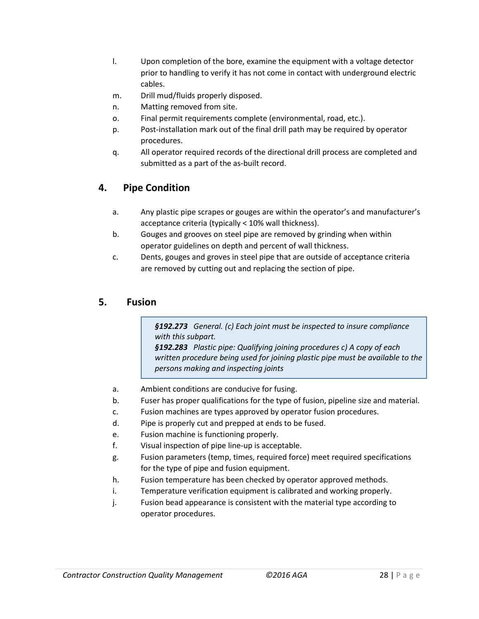- l. Upon completion of the bore, examine the equipment with a voltage detector prior to handling to verify it has not come in contact with underground electric cables.
- m. Drill mud/fluids properly disposed.
- n. Matting removed from site.
- o. Final permit requirements complete (environmental, road, etc.).
- p. Post-installation mark out of the final drill path may be required by operator procedures.
- q. All operator required records of the directional drill process are completed and submitted as a part of the as-built record.

# **4. Pipe Condition**

- a. Any plastic pipe scrapes or gouges are within the operator's and manufacturer's acceptance criteria (typically < 10% wall thickness).
- b. Gouges and grooves on steel pipe are removed by grinding when within operator guidelines on depth and percent of wall thickness.
- c. Dents, gouges and groves in steel pipe that are outside of acceptance criteria are removed by cutting out and replacing the section of pipe.

### **5. Fusion**

*§192.273 General. (c) Each joint must be inspected to insure compliance with this subpart.*

*§192.283 Plastic pipe: Qualifying joining procedures c) A copy of each written procedure being used for joining plastic pipe must be available to the persons making and inspecting joints*

- a. Ambient conditions are conducive for fusing.
- b. Fuser has proper qualifications for the type of fusion, pipeline size and material.
- c. Fusion machines are types approved by operator fusion procedures.
- d. Pipe is properly cut and prepped at ends to be fused.
- e. Fusion machine is functioning properly.
- f. Visual inspection of pipe line-up is acceptable.
- g. Fusion parameters (temp, times, required force) meet required specifications for the type of pipe and fusion equipment.
- h. Fusion temperature has been checked by operator approved methods.
- i. Temperature verification equipment is calibrated and working properly.
- j. Fusion bead appearance is consistent with the material type according to operator procedures.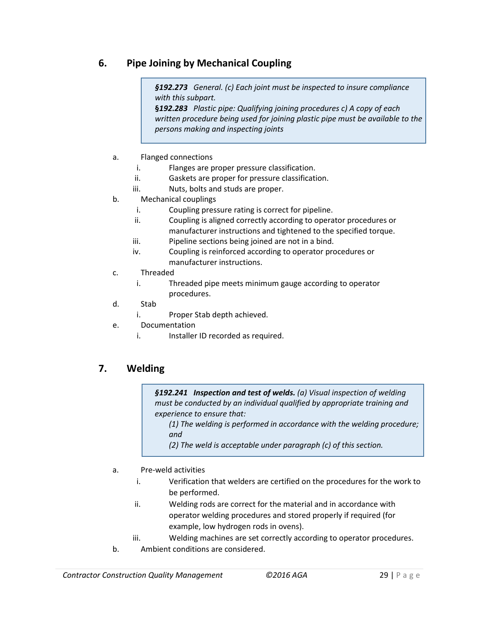# **6. Pipe Joining by Mechanical Coupling**

*§192.273 General. (c) Each joint must be inspected to insure compliance with this subpart.*

**§***192.283 Plastic pipe: Qualifying joining procedures c) A copy of each written procedure being used for joining plastic pipe must be available to the persons making and inspecting joints*

- a. Flanged connections
	- i. Flanges are proper pressure classification.
	- ii. Gaskets are proper for pressure classification.
	- iii. Nuts, bolts and studs are proper.
- b. Mechanical couplings
	- i. Coupling pressure rating is correct for pipeline.
	- ii. Coupling is aligned correctly according to operator procedures or manufacturer instructions and tightened to the specified torque.
	- iii. Pipeline sections being joined are not in a bind.
	- iv. Coupling is reinforced according to operator procedures or manufacturer instructions.
- c. Threaded
	- i. Threaded pipe meets minimum gauge according to operator procedures.
- d. Stab
	- i. Proper Stab depth achieved.
- e. Documentation
	- i. Installer ID recorded as required.

### **7. Welding**

*§192.241 Inspection and test of welds. (a) Visual inspection of welding must be conducted by an individual qualified by appropriate training and experience to ensure that:*

*(1) The welding is performed in accordance with the welding procedure; and* 

*(2) The weld is acceptable under paragraph (c) of this section.* 

- a. Pre-weld activities
	- i. Verification that welders are certified on the procedures for the work to be performed.
	- ii. Welding rods are correct for the material and in accordance with operator welding procedures and stored properly if required (for example, low hydrogen rods in ovens).
	- iii. Welding machines are set correctly according to operator procedures.
- b. Ambient conditions are considered.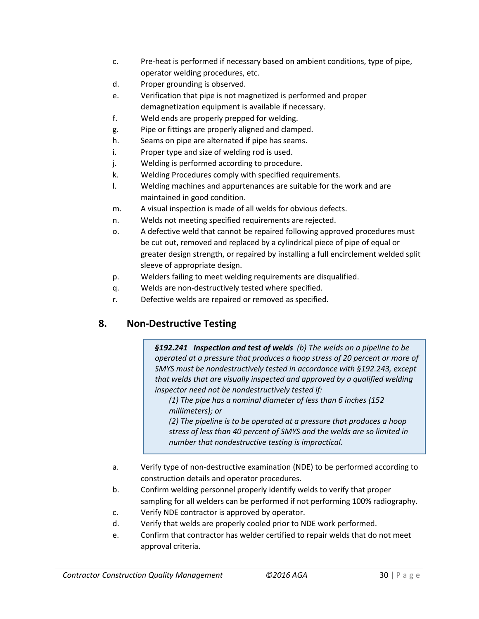- c. Pre-heat is performed if necessary based on ambient conditions, type of pipe, operator welding procedures, etc.
- d. Proper grounding is observed.
- e. Verification that pipe is not magnetized is performed and proper demagnetization equipment is available if necessary.
- f. Weld ends are properly prepped for welding.
- g. Pipe or fittings are properly aligned and clamped.
- h. Seams on pipe are alternated if pipe has seams.
- i. Proper type and size of welding rod is used.
- j. Welding is performed according to procedure.
- k. Welding Procedures comply with specified requirements.
- l. Welding machines and appurtenances are suitable for the work and are maintained in good condition.
- m. A visual inspection is made of all welds for obvious defects.
- n. Welds not meeting specified requirements are rejected.
- o. A defective weld that cannot be repaired following approved procedures must be cut out, removed and replaced by a cylindrical piece of pipe of equal or greater design strength, or repaired by installing a full encirclement welded split sleeve of appropriate design.
- p. Welders failing to meet welding requirements are disqualified.
- q. Welds are non-destructively tested where specified.
- r. Defective welds are repaired or removed as specified.

# **8. Non-Destructive Testing**

*§192.241 Inspection and test of welds (b) The welds on a pipeline to be operated at a pressure that produces a hoop stress of 20 percent or more of SMYS must be nondestructively tested in accordance with §192.243, except that welds that are visually inspected and approved by a qualified welding inspector need not be nondestructively tested if:*

*(1) The pipe has a nominal diameter of less than 6 inches (152 millimeters); or* 

*(2) The pipeline is to be operated at a pressure that produces a hoop stress of less than 40 percent of SMYS and the welds are so limited in number that nondestructive testing is impractical.*

- a. Verify type of non-destructive examination (NDE) to be performed according to construction details and operator procedures.
- b. Confirm welding personnel properly identify welds to verify that proper sampling for all welders can be performed if not performing 100% radiography.
- c. Verify NDE contractor is approved by operator.
- d. Verify that welds are properly cooled prior to NDE work performed.
- e. Confirm that contractor has welder certified to repair welds that do not meet approval criteria.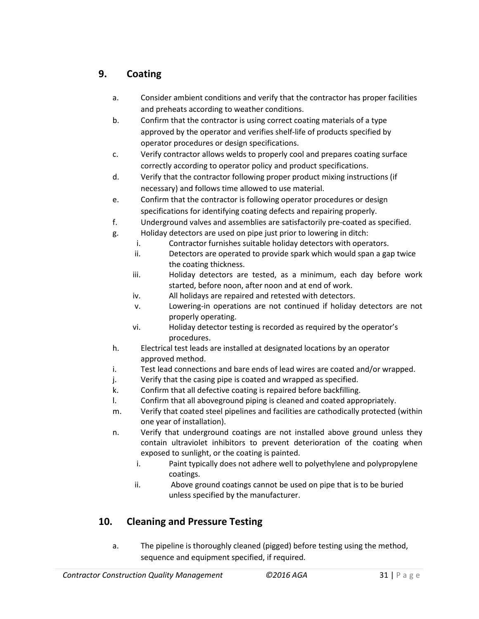# **9. Coating**

- a. Consider ambient conditions and verify that the contractor has proper facilities and preheats according to weather conditions.
- b. Confirm that the contractor is using correct coating materials of a type approved by the operator and verifies shelf-life of products specified by operator procedures or design specifications.
- c. Verify contractor allows welds to properly cool and prepares coating surface correctly according to operator policy and product specifications.
- d. Verify that the contractor following proper product mixing instructions (if necessary) and follows time allowed to use material.
- e. Confirm that the contractor is following operator procedures or design specifications for identifying coating defects and repairing properly.
- f. Underground valves and assemblies are satisfactorily pre-coated as specified.
- g. Holiday detectors are used on pipe just prior to lowering in ditch:
	- i. Contractor furnishes suitable holiday detectors with operators.
	- ii. Detectors are operated to provide spark which would span a gap twice the coating thickness.
	- iii. Holiday detectors are tested, as a minimum, each day before work started, before noon, after noon and at end of work.
	- iv. All holidays are repaired and retested with detectors.
	- v. Lowering-in operations are not continued if holiday detectors are not properly operating.
	- vi. Holiday detector testing is recorded as required by the operator's procedures.
- h. Electrical test leads are installed at designated locations by an operator approved method.
- i. Test lead connections and bare ends of lead wires are coated and/or wrapped.
- j. Verify that the casing pipe is coated and wrapped as specified.
- k. Confirm that all defective coating is repaired before backfilling.
- l. Confirm that all aboveground piping is cleaned and coated appropriately.
- m. Verify that coated steel pipelines and facilities are cathodically protected (within one year of installation).
- n. Verify that underground coatings are not installed above ground unless they contain ultraviolet inhibitors to prevent deterioration of the coating when exposed to sunlight, or the coating is painted.
	- i. Paint typically does not adhere well to polyethylene and polypropylene coatings.
	- ii. Above ground coatings cannot be used on pipe that is to be buried unless specified by the manufacturer.

# **10. Cleaning and Pressure Testing**

a. The pipeline is thoroughly cleaned (pigged) before testing using the method, sequence and equipment specified, if required.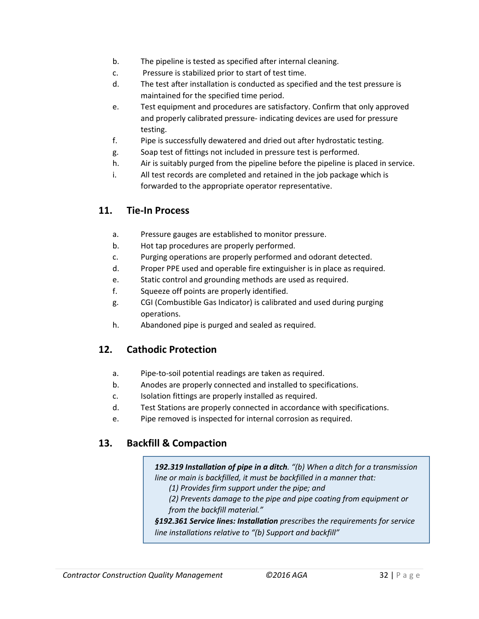- b. The pipeline is tested as specified after internal cleaning.
- c. Pressure is stabilized prior to start of test time.
- d. The test after installation is conducted as specified and the test pressure is maintained for the specified time period.
- e. Test equipment and procedures are satisfactory. Confirm that only approved and properly calibrated pressure- indicating devices are used for pressure testing.
- f. Pipe is successfully dewatered and dried out after hydrostatic testing.
- g. Soap test of fittings not included in pressure test is performed.
- h. Air is suitably purged from the pipeline before the pipeline is placed in service.
- i. All test records are completed and retained in the job package which is forwarded to the appropriate operator representative.

### **11. Tie-In Process**

- a. Pressure gauges are established to monitor pressure.
- b. Hot tap procedures are properly performed.
- c. Purging operations are properly performed and odorant detected.
- d. Proper PPE used and operable fire extinguisher is in place as required.
- e. Static control and grounding methods are used as required.
- f. Squeeze off points are properly identified.
- g. CGI (Combustible Gas Indicator) is calibrated and used during purging operations.
- h. Abandoned pipe is purged and sealed as required.

### **12. Cathodic Protection**

- a. Pipe-to-soil potential readings are taken as required.
- b. Anodes are properly connected and installed to specifications.
- c. Isolation fittings are properly installed as required.
- d. Test Stations are properly connected in accordance with specifications.
- e. Pipe removed is inspected for internal corrosion as required.

### **13. Backfill & Compaction**

*192.319 Installation of pipe in a ditch. "(b) When a ditch for a transmission line or main is backfilled, it must be backfilled in a manner that:* 

*(1) Provides firm support under the pipe; and* 

*(2) Prevents damage to the pipe and pipe coating from equipment or from the backfill material."*

*§192.361 Service lines: Installation prescribes the requirements for service line installations relative to "(b) Support and backfill"*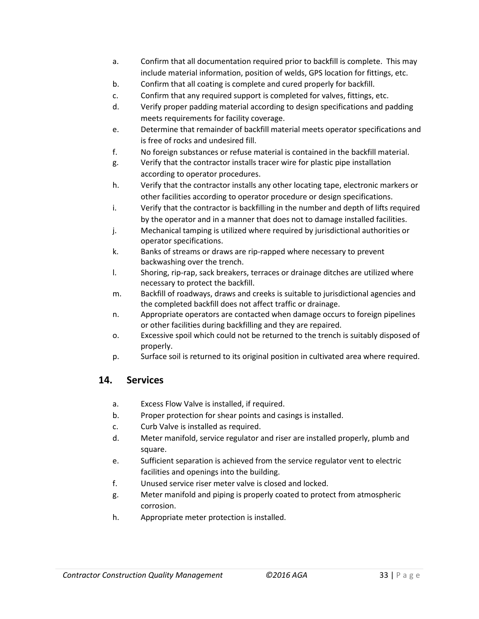- a. Confirm that all documentation required prior to backfill is complete. This may include material information, position of welds, GPS location for fittings, etc.
- b. Confirm that all coating is complete and cured properly for backfill.
- c. Confirm that any required support is completed for valves, fittings, etc.
- d. Verify proper padding material according to design specifications and padding meets requirements for facility coverage.
- e. Determine that remainder of backfill material meets operator specifications and is free of rocks and undesired fill.
- f. No foreign substances or refuse material is contained in the backfill material.
- g. Verify that the contractor installs tracer wire for plastic pipe installation according to operator procedures.
- h. Verify that the contractor installs any other locating tape, electronic markers or other facilities according to operator procedure or design specifications.
- i. Verify that the contractor is backfilling in the number and depth of lifts required by the operator and in a manner that does not to damage installed facilities.
- j. Mechanical tamping is utilized where required by jurisdictional authorities or operator specifications.
- k. Banks of streams or draws are rip-rapped where necessary to prevent backwashing over the trench.
- l. Shoring, rip-rap, sack breakers, terraces or drainage ditches are utilized where necessary to protect the backfill.
- m. Backfill of roadways, draws and creeks is suitable to jurisdictional agencies and the completed backfill does not affect traffic or drainage.
- n. Appropriate operators are contacted when damage occurs to foreign pipelines or other facilities during backfilling and they are repaired.
- o. Excessive spoil which could not be returned to the trench is suitably disposed of properly.
- p. Surface soil is returned to its original position in cultivated area where required.

### **14. Services**

- a. Excess Flow Valve is installed, if required.
- b. Proper protection for shear points and casings is installed.
- c. Curb Valve is installed as required.
- d. Meter manifold, service regulator and riser are installed properly, plumb and square.
- e. Sufficient separation is achieved from the service regulator vent to electric facilities and openings into the building.
- f. Unused service riser meter valve is closed and locked.
- g. Meter manifold and piping is properly coated to protect from atmospheric corrosion.
- h. Appropriate meter protection is installed.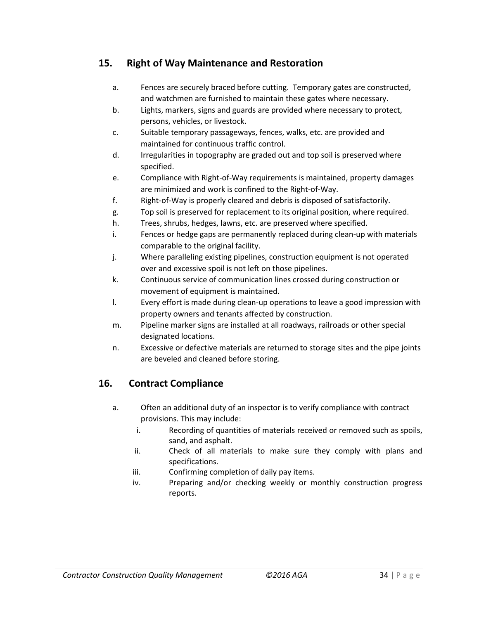### **15. Right of Way Maintenance and Restoration**

- a. Fences are securely braced before cutting. Temporary gates are constructed, and watchmen are furnished to maintain these gates where necessary.
- b. Lights, markers, signs and guards are provided where necessary to protect, persons, vehicles, or livestock.
- c. Suitable temporary passageways, fences, walks, etc. are provided and maintained for continuous traffic control.
- d. Irregularities in topography are graded out and top soil is preserved where specified.
- e. Compliance with Right-of-Way requirements is maintained, property damages are minimized and work is confined to the Right-of-Way.
- f. Right-of-Way is properly cleared and debris is disposed of satisfactorily.
- g. Top soil is preserved for replacement to its original position, where required.
- h. Trees, shrubs, hedges, lawns, etc. are preserved where specified.
- i. Fences or hedge gaps are permanently replaced during clean-up with materials comparable to the original facility.
- j. Where paralleling existing pipelines, construction equipment is not operated over and excessive spoil is not left on those pipelines.
- k. Continuous service of communication lines crossed during construction or movement of equipment is maintained.
- l. Every effort is made during clean-up operations to leave a good impression with property owners and tenants affected by construction.
- m. Pipeline marker signs are installed at all roadways, railroads or other special designated locations.
- n. Excessive or defective materials are returned to storage sites and the pipe joints are beveled and cleaned before storing.

# **16. Contract Compliance**

- a. Often an additional duty of an inspector is to verify compliance with contract provisions. This may include:
	- i. Recording of quantities of materials received or removed such as spoils, sand, and asphalt.
	- ii. Check of all materials to make sure they comply with plans and specifications.
	- iii. Confirming completion of daily pay items.
	- iv. Preparing and/or checking weekly or monthly construction progress reports.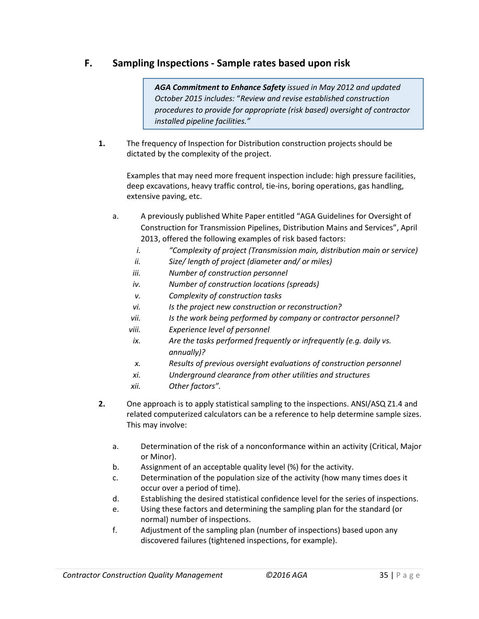### **F. Sampling Inspections - Sample rates based upon risk**

*AGA Commitment to Enhance Safety issued in May 2012 and updated October 2015 includes:* "*Review and revise established construction procedures to provide for appropriate (risk based) oversight of contractor installed pipeline facilities."* 

**1.** The frequency of Inspection for Distribution construction projects should be dictated by the complexity of the project.

Examples that may need more frequent inspection include: high pressure facilities, deep excavations, heavy traffic control, tie-ins, boring operations, gas handling, extensive paving, etc.

- a. A previously published White Paper entitled "AGA Guidelines for Oversight of Construction for Transmission Pipelines, Distribution Mains and Services", April 2013, offered the following examples of risk based factors:
	- *i. "Complexity of project (Transmission main, distribution main or service)*
	- *ii. Size/ length of project (diameter and/ or miles)*
	- *iii. Number of construction personnel*
	- *iv. Number of construction locations (spreads)*
	- *v. Complexity of construction tasks*
	- *vi. Is the project new construction or reconstruction?*
	- *vii. Is the work being performed by company or contractor personnel?*
	- *viii. Experience level of personnel*
	- *ix. Are the tasks performed frequently or infrequently (e.g. daily vs. annually)?*
	- *x. Results of previous oversight evaluations of construction personnel*
	- *xi. Underground clearance from other utilities and structures*
	- *xii. Other factors".*
- **2.** One approach is to apply statistical sampling to the inspections. ANSI/ASQ Z1.4 and related computerized calculators can be a reference to help determine sample sizes. This may involve:
	- a. Determination of the risk of a nonconformance within an activity (Critical, Major or Minor).
	- b. Assignment of an acceptable quality level (%) for the activity.
	- c. Determination of the population size of the activity (how many times does it occur over a period of time).
	- d. Establishing the desired statistical confidence level for the series of inspections.
	- e. Using these factors and determining the sampling plan for the standard (or normal) number of inspections.
	- f. Adjustment of the sampling plan (number of inspections) based upon any discovered failures (tightened inspections, for example).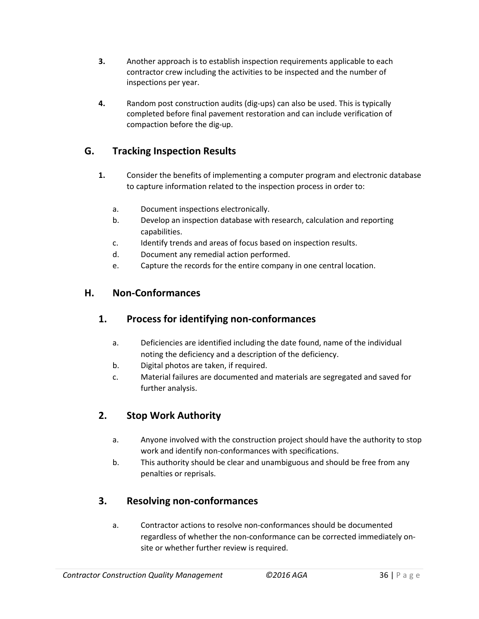- **3.** Another approach is to establish inspection requirements applicable to each contractor crew including the activities to be inspected and the number of inspections per year.
- **4.** Random post construction audits (dig-ups) can also be used. This is typically completed before final pavement restoration and can include verification of compaction before the dig-up.

# **G. Tracking Inspection Results**

- **1.** Consider the benefits of implementing a computer program and electronic database to capture information related to the inspection process in order to:
	- a. Document inspections electronically.
	- b. Develop an inspection database with research, calculation and reporting capabilities.
	- c. Identify trends and areas of focus based on inspection results.
	- d. Document any remedial action performed.
	- e. Capture the records for the entire company in one central location.

# **H. Non-Conformances**

### **1. Process for identifying non-conformances**

- a. Deficiencies are identified including the date found, name of the individual noting the deficiency and a description of the deficiency.
- b. Digital photos are taken, if required.
- c. Material failures are documented and materials are segregated and saved for further analysis.

# **2. Stop Work Authority**

- a. Anyone involved with the construction project should have the authority to stop work and identify non-conformances with specifications.
- b. This authority should be clear and unambiguous and should be free from any penalties or reprisals.

# **3. Resolving non-conformances**

a. Contractor actions to resolve non-conformances should be documented regardless of whether the non-conformance can be corrected immediately onsite or whether further review is required.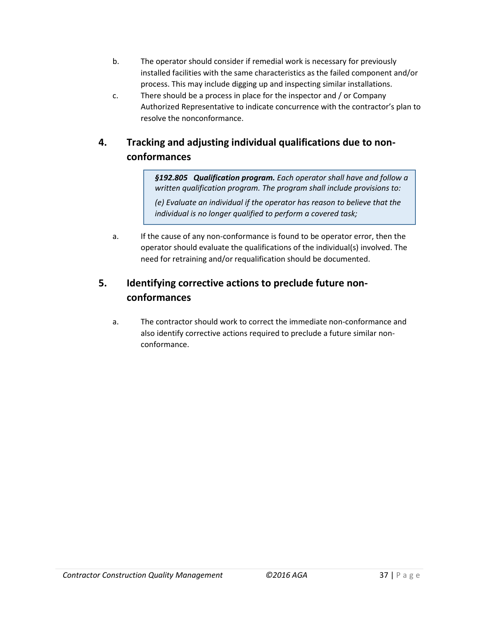- b. The operator should consider if remedial work is necessary for previously installed facilities with the same characteristics as the failed component and/or process. This may include digging up and inspecting similar installations.
- c. There should be a process in place for the inspector and / or Company Authorized Representative to indicate concurrence with the contractor's plan to resolve the nonconformance.

# **4. Tracking and adjusting individual qualifications due to nonconformances**

*§192.805 Qualification program. Each operator shall have and follow a written qualification program. The program shall include provisions to:*

*(e) Evaluate an individual if the operator has reason to believe that the individual is no longer qualified to perform a covered task;*

a. If the cause of any non-conformance is found to be operator error, then the operator should evaluate the qualifications of the individual(s) involved. The need for retraining and/or requalification should be documented.

# **5. Identifying corrective actions to preclude future nonconformances**

a. The contractor should work to correct the immediate non-conformance and also identify corrective actions required to preclude a future similar nonconformance.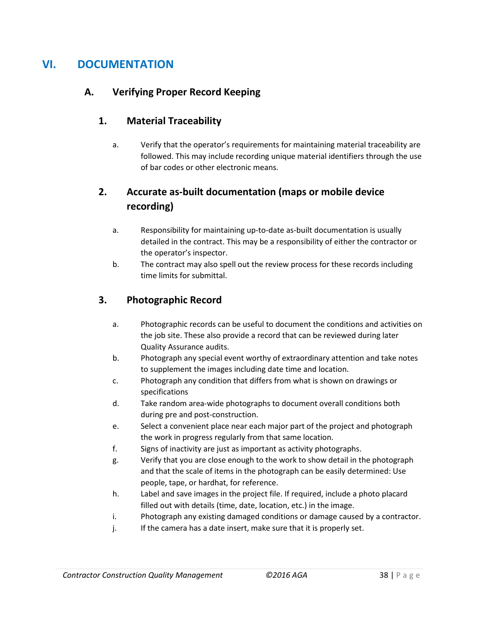# **VI. DOCUMENTATION**

## **A. Verifying Proper Record Keeping**

### **1. Material Traceability**

a. Verify that the operator's requirements for maintaining material traceability are followed. This may include recording unique material identifiers through the use of bar codes or other electronic means.

# **2. Accurate as-built documentation (maps or mobile device recording)**

- a. Responsibility for maintaining up-to-date as-built documentation is usually detailed in the contract. This may be a responsibility of either the contractor or the operator's inspector.
- b. The contract may also spell out the review process for these records including time limits for submittal.

### **3. Photographic Record**

- a. Photographic records can be useful to document the conditions and activities on the job site. These also provide a record that can be reviewed during later Quality Assurance audits.
- b. Photograph any special event worthy of extraordinary attention and take notes to supplement the images including date time and location.
- c. Photograph any condition that differs from what is shown on drawings or specifications
- d. Take random area-wide photographs to document overall conditions both during pre and post-construction.
- e. Select a convenient place near each major part of the project and photograph the work in progress regularly from that same location.
- f. Signs of inactivity are just as important as activity photographs.
- g. Verify that you are close enough to the work to show detail in the photograph and that the scale of items in the photograph can be easily determined: Use people, tape, or hardhat, for reference.
- h. Label and save images in the project file. If required, include a photo placard filled out with details (time, date, location, etc.) in the image.
- i. Photograph any existing damaged conditions or damage caused by a contractor.
- j. If the camera has a date insert, make sure that it is properly set.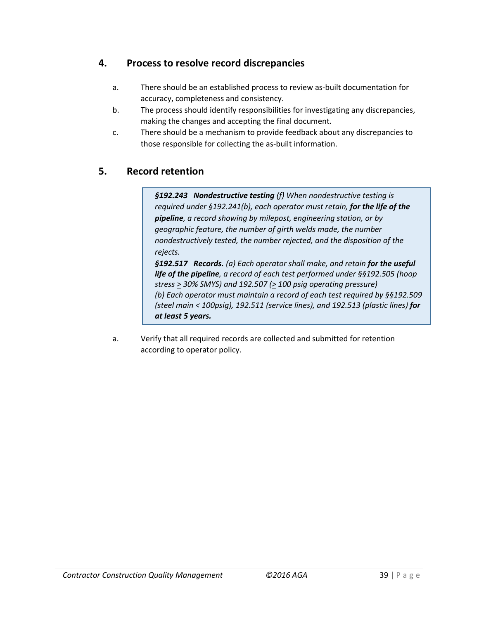# **4. Process to resolve record discrepancies**

- a. There should be an established process to review as-built documentation for accuracy, completeness and consistency.
- b. The process should identify responsibilities for investigating any discrepancies, making the changes and accepting the final document.
- c. There should be a mechanism to provide feedback about any discrepancies to those responsible for collecting the as-built information.

# **5. Record retention**

*§192.243 Nondestructive testing (f) When nondestructive testing is required under §192.241(b), each operator must retain, for the life of the pipeline, a record showing by milepost, engineering station, or by geographic feature, the number of girth welds made, the number nondestructively tested, the number rejected, and the disposition of the rejects.*

*§192.517 Records. (a) Each operator shall make, and retain for the useful life of the pipeline, a record of each test performed under §§192.505 (hoop stress > 30% SMYS) and 192.507 (> 100 psig operating pressure) (b) Each operator must maintain a record of each test required by §§192.509 (steel main < 100psig), 192.511 (service lines), and 192.513 (plastic lines) for at least 5 years.*

a. Verify that all required records are collected and submitted for retention according to operator policy.